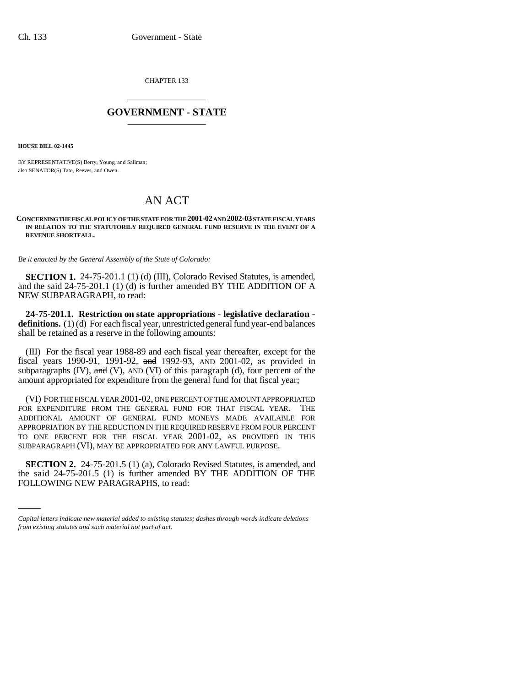CHAPTER 133 \_\_\_\_\_\_\_\_\_\_\_\_\_\_\_

## **GOVERNMENT - STATE** \_\_\_\_\_\_\_\_\_\_\_\_\_\_\_

**HOUSE BILL 02-1445**

BY REPRESENTATIVE(S) Berry, Young, and Saliman; also SENATOR(S) Tate, Reeves, and Owen.

## AN ACT

## **CONCERNING THE FISCAL POLICY OF THE STATE FOR THE 2001-02 AND 2002-03 STATE FISCAL YEARS IN RELATION TO THE STATUTORILY REQUIRED GENERAL FUND RESERVE IN THE EVENT OF A REVENUE SHORTFALL.**

*Be it enacted by the General Assembly of the State of Colorado:*

**SECTION 1.** 24-75-201.1 (1) (d) (III), Colorado Revised Statutes, is amended, and the said 24-75-201.1 (1) (d) is further amended BY THE ADDITION OF A NEW SUBPARAGRAPH, to read:

**24-75-201.1. Restriction on state appropriations - legislative declaration**  definitions. (1) (d) For each fiscal year, unrestricted general fund year-end balances shall be retained as a reserve in the following amounts:

(III) For the fiscal year 1988-89 and each fiscal year thereafter, except for the fiscal years 1990-91, 1991-92, and 1992-93, AND 2001-02, as provided in subparagraphs  $(IV)$ , and  $(V)$ , AND  $(VI)$  of this paragraph  $(d)$ , four percent of the amount appropriated for expenditure from the general fund for that fiscal year;

(VI) FOR THE FISCAL YEAR 2001-02, ONE PERCENT OF THE AMOUNT APPROPRIATED FOR EXPENDITURE FROM THE GENERAL FUND FOR THAT FISCAL YEAR. THE ADDITIONAL AMOUNT OF GENERAL FUND MONEYS MADE AVAILABLE FOR APPROPRIATION BY THE REDUCTION IN THE REQUIRED RESERVE FROM FOUR PERCENT TO ONE PERCENT FOR THE FISCAL YEAR 2001-02, AS PROVIDED IN THIS SUBPARAGRAPH (VI), MAY BE APPROPRIATED FOR ANY LAWFUL PURPOSE.

**SECTION 2.** 24-75-201.5 (1) (a), Colorado Revised Statutes, is amended, and the said 24-75-201.5 (1) is further amended BY THE ADDITION OF THE FOLLOWING NEW PARAGRAPHS, to read:

*Capital letters indicate new material added to existing statutes; dashes through words indicate deletions from existing statutes and such material not part of act.*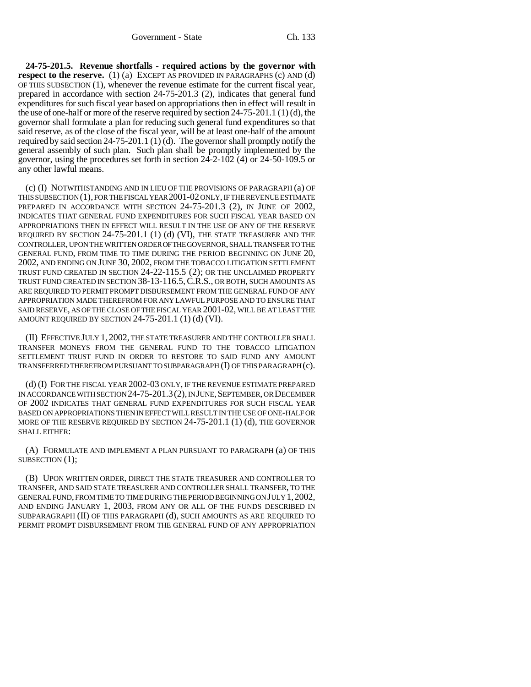**24-75-201.5. Revenue shortfalls - required actions by the governor with respect to the reserve.** (1) (a) EXCEPT AS PROVIDED IN PARAGRAPHS (c) AND (d) OF THIS SUBSECTION (1), whenever the revenue estimate for the current fiscal year, prepared in accordance with section 24-75-201.3 (2), indicates that general fund expenditures for such fiscal year based on appropriations then in effect will result in the use of one-half or more of the reserve required by section 24-75-201.1 (1) (d), the governor shall formulate a plan for reducing such general fund expenditures so that said reserve, as of the close of the fiscal year, will be at least one-half of the amount required by said section 24-75-201.1 (1) (d). The governor shall promptly notify the general assembly of such plan. Such plan shall be promptly implemented by the governor, using the procedures set forth in section 24-2-102 (4) or 24-50-109.5 or any other lawful means.

(c) (I) NOTWITHSTANDING AND IN LIEU OF THE PROVISIONS OF PARAGRAPH (a) OF THIS SUBSECTION (1), FOR THE FISCAL YEAR 2001-02 ONLY, IF THE REVENUE ESTIMATE PREPARED IN ACCORDANCE WITH SECTION 24-75-201.3 (2), IN JUNE OF 2002, INDICATES THAT GENERAL FUND EXPENDITURES FOR SUCH FISCAL YEAR BASED ON APPROPRIATIONS THEN IN EFFECT WILL RESULT IN THE USE OF ANY OF THE RESERVE REQUIRED BY SECTION 24-75-201.1 (1) (d) (VI), THE STATE TREASURER AND THE CONTROLLER, UPON THE WRITTEN ORDER OF THE GOVERNOR, SHALL TRANSFER TO THE GENERAL FUND, FROM TIME TO TIME DURING THE PERIOD BEGINNING ON JUNE 20, 2002, AND ENDING ON JUNE 30, 2002, FROM THE TOBACCO LITIGATION SETTLEMENT TRUST FUND CREATED IN SECTION 24-22-115.5 (2); OR THE UNCLAIMED PROPERTY TRUST FUND CREATED IN SECTION 38-13-116.5,C.R.S., OR BOTH, SUCH AMOUNTS AS ARE REQUIRED TO PERMIT PROMPT DISBURSEMENT FROM THE GENERAL FUND OF ANY APPROPRIATION MADE THEREFROM FOR ANY LAWFUL PURPOSE AND TO ENSURE THAT SAID RESERVE, AS OF THE CLOSE OF THE FISCAL YEAR 2001-02, WILL BE AT LEAST THE AMOUNT REQUIRED BY SECTION 24-75-201.1 (1) (d) (VI).

(II) EFFECTIVE JULY 1, 2002, THE STATE TREASURER AND THE CONTROLLER SHALL TRANSFER MONEYS FROM THE GENERAL FUND TO THE TOBACCO LITIGATION SETTLEMENT TRUST FUND IN ORDER TO RESTORE TO SAID FUND ANY AMOUNT TRANSFERRED THEREFROM PURSUANT TO SUBPARAGRAPH (I) OF THIS PARAGRAPH (c).

(d) (I) FOR THE FISCAL YEAR 2002-03 ONLY, IF THE REVENUE ESTIMATE PREPARED IN ACCORDANCE WITH SECTION 24-75-201.3(2), IN JUNE, SEPTEMBER, OR DECEMBER OF 2002 INDICATES THAT GENERAL FUND EXPENDITURES FOR SUCH FISCAL YEAR BASED ON APPROPRIATIONS THEN IN EFFECT WILL RESULT IN THE USE OF ONE-HALF OR MORE OF THE RESERVE REQUIRED BY SECTION 24-75-201.1 (1) (d), THE GOVERNOR SHALL EITHER:

(A) FORMULATE AND IMPLEMENT A PLAN PURSUANT TO PARAGRAPH (a) OF THIS SUBSECTION (1);

(B) UPON WRITTEN ORDER, DIRECT THE STATE TREASURER AND CONTROLLER TO TRANSFER, AND SAID STATE TREASURER AND CONTROLLER SHALL TRANSFER, TO THE GENERAL FUND, FROM TIME TO TIME DURING THE PERIOD BEGINNING ON JULY 1,2002, AND ENDING JANUARY 1, 2003, FROM ANY OR ALL OF THE FUNDS DESCRIBED IN SUBPARAGRAPH (II) OF THIS PARAGRAPH (d), SUCH AMOUNTS AS ARE REQUIRED TO PERMIT PROMPT DISBURSEMENT FROM THE GENERAL FUND OF ANY APPROPRIATION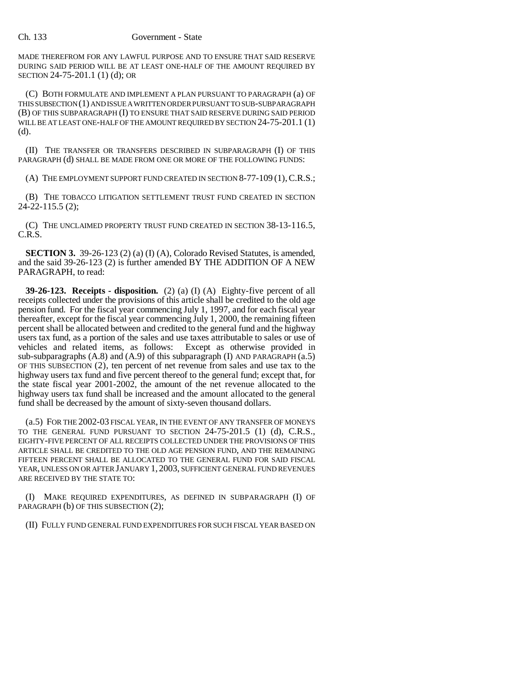## Ch. 133 Government - State

MADE THEREFROM FOR ANY LAWFUL PURPOSE AND TO ENSURE THAT SAID RESERVE DURING SAID PERIOD WILL BE AT LEAST ONE-HALF OF THE AMOUNT REQUIRED BY SECTION 24-75-201.1 (1) (d); OR

(C) BOTH FORMULATE AND IMPLEMENT A PLAN PURSUANT TO PARAGRAPH (a) OF THIS SUBSECTION (1) AND ISSUE A WRITTEN ORDER PURSUANT TO SUB-SUBPARAGRAPH (B) OF THIS SUBPARAGRAPH (I) TO ENSURE THAT SAID RESERVE DURING SAID PERIOD WILL BE AT LEAST ONE-HALF OF THE AMOUNT REQUIRED BY SECTION 24-75-201.1 (1) (d).

(II) THE TRANSFER OR TRANSFERS DESCRIBED IN SUBPARAGRAPH (I) OF THIS PARAGRAPH (d) SHALL BE MADE FROM ONE OR MORE OF THE FOLLOWING FUNDS:

(A) THE EMPLOYMENT SUPPORT FUND CREATED IN SECTION 8-77-109 (1),C.R.S.;

(B) THE TOBACCO LITIGATION SETTLEMENT TRUST FUND CREATED IN SECTION 24-22-115.5 (2);

(C) THE UNCLAIMED PROPERTY TRUST FUND CREATED IN SECTION 38-13-116.5, C.R.S.

**SECTION 3.** 39-26-123 (2) (a) (I) (A), Colorado Revised Statutes, is amended, and the said 39-26-123 (2) is further amended BY THE ADDITION OF A NEW PARAGRAPH, to read:

**39-26-123. Receipts - disposition.** (2) (a) (I) (A) Eighty-five percent of all receipts collected under the provisions of this article shall be credited to the old age pension fund. For the fiscal year commencing July 1, 1997, and for each fiscal year thereafter, except for the fiscal year commencing July 1, 2000, the remaining fifteen percent shall be allocated between and credited to the general fund and the highway users tax fund, as a portion of the sales and use taxes attributable to sales or use of vehicles and related items, as follows: Except as otherwise provided in sub-subparagraphs  $(A.8)$  and  $(A.9)$  of this subparagraph  $(I)$  AND PARAGRAPH  $(a.5)$ OF THIS SUBSECTION (2), ten percent of net revenue from sales and use tax to the highway users tax fund and five percent thereof to the general fund; except that, for the state fiscal year 2001-2002, the amount of the net revenue allocated to the highway users tax fund shall be increased and the amount allocated to the general fund shall be decreased by the amount of sixty-seven thousand dollars.

(a.5) FOR THE 2002-03 FISCAL YEAR, IN THE EVENT OF ANY TRANSFER OF MONEYS TO THE GENERAL FUND PURSUANT TO SECTION 24-75-201.5 (1) (d), C.R.S., EIGHTY-FIVE PERCENT OF ALL RECEIPTS COLLECTED UNDER THE PROVISIONS OF THIS ARTICLE SHALL BE CREDITED TO THE OLD AGE PENSION FUND, AND THE REMAINING FIFTEEN PERCENT SHALL BE ALLOCATED TO THE GENERAL FUND FOR SAID FISCAL YEAR, UNLESS ON OR AFTER JANUARY 1, 2003, SUFFICIENT GENERAL FUND REVENUES ARE RECEIVED BY THE STATE TO:

(I) MAKE REQUIRED EXPENDITURES, AS DEFINED IN SUBPARAGRAPH (I) OF PARAGRAPH (b) OF THIS SUBSECTION (2);

(II) FULLY FUND GENERAL FUND EXPENDITURES FOR SUCH FISCAL YEAR BASED ON